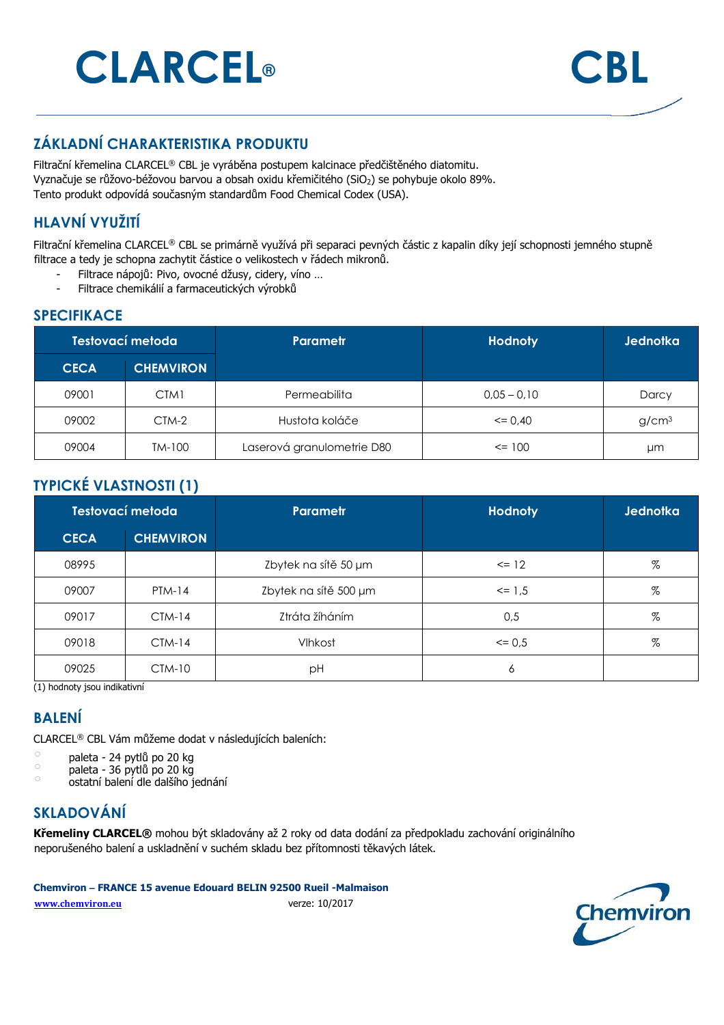# **CLARCEL® CBL**



### **ZÁKLADNÍ CHARAKTERISTIKA PRODUKTU**

Filtrační křemelina CLARCEL® CBL je vyráběna postupem kalcinace předčištěného diatomitu. Vyznačuje se růžovo-béžovou barvou a obsah oxidu křemičitého (SiO<sub>2</sub>) se pohybuje okolo 89%. Tento produkt odpovídá současným standardům Food Chemical Codex (USA).

# **HLAVNÍ VYUŽITÍ**

Filtrační křemelina CLARCEL® CBL se primárně využívá při separaci pevných částic z kapalin díky její schopnosti jemného stupně filtrace a tedy je schopna zachytit částice o velikostech v řádech mikronů.

- Filtrace nápojů: Pivo, ovocné džusy, cidery, víno …
- Filtrace chemikálií a farmaceutických výrobků

#### **SPECIFIKACE**

| Testovací metoda |                  | Parametr                   | <b>Hodnoty</b> | <b>Jednotka</b>   |
|------------------|------------------|----------------------------|----------------|-------------------|
| <b>CECA</b>      | <b>CHEMVIRON</b> |                            |                |                   |
| 09001            | CTM1             | <b>Permeabilita</b>        | $0.05 - 0.10$  | Darcy             |
| 09002            | $CTM-2$          | Hustota koláče             | $\leq$ 0.40    | g/cm <sup>3</sup> |
| 09004            | TM-100           | Laserová granulometrie D80 | $\leq$ 100     | μm                |

### **TYPICKÉ VLASTNOSTI (1)**

| Testovací metoda |                  | <b>Parametr</b>       | <b>Hodnoty</b> | <b>Jednotka</b> |
|------------------|------------------|-----------------------|----------------|-----------------|
| <b>CECA</b>      | <b>CHEMVIRON</b> |                       |                |                 |
| 08995            |                  | Zbytek na sítě 50 µm  | $\le$ 12       | %               |
| 09007            | $PTM-14$         | Zbytek na sítě 500 µm | $\le$ 1.5      | %               |
| 09017            | $CIM-14$         | Ztráta žíháním        | 0,5            | %               |
| 09018            | $CTM-14$         | Vlhkost               | $\leq$ 0.5     | %               |
| 09025            | $CTM-10$         | рH                    | 6              |                 |

(1) hodnoty jsou indikativní

#### **BALENÍ**

CLARCEL® CBL Vám můžeme dodat v následujících baleních:

- $\degree$  paleta 24 pytlů po 20 kg
- paleta 36 pytlů po 20 kg
- o ostatní balení dle dalšího jednání

# **SKLADOVÁNÍ**

**Křemeliny CLARCEL®** mohou být skladovány až 2 roky od data dodání za předpokladu zachování originálního neporušeného balení a uskladnění v suchém skladu bez přítomnosti těkavých látek.

**Chemviron – FRANCE 15 avenue Edouard BELIN 92500 Rueil -Malmaison** 

**www.chemviron.eu** verze: 10/2017